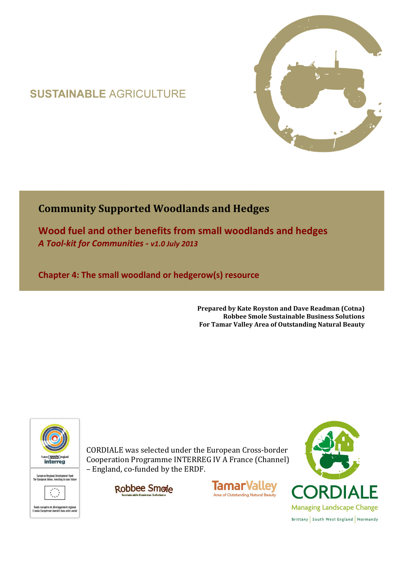# **SUSTAINABLE AGRICULTURE**



## **Community Supported Woodlands and Hedges**

**Wood fuel and other benefits from small woodlands and hedges**  *A Tool-kit for Communities - v1.0 July 2013*

**Chapter 4: The small woodland or hedgerow(s) resource** 

**Prepared by Kate Royston and Dave Readman (Cotna) Robbee Smole Sustainable Business Solutions For Tamar Valley Area of Outstanding Natural Beauty**



CORDIALE was selected under the European Cross-border Cooperation Programme INTERREG IV A France (Channel) – England, co-funded by the ERDF.





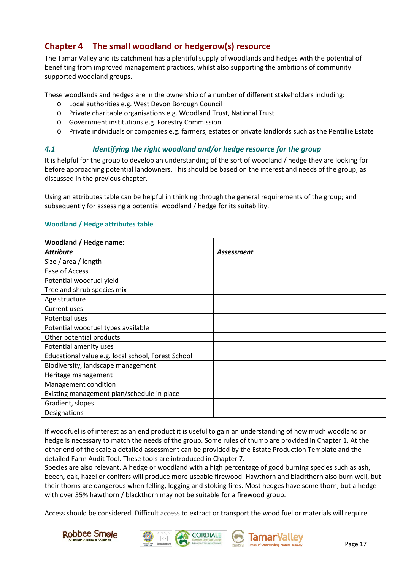### **Chapter 4 The small woodland or hedgerow(s) resource**

The Tamar Valley and its catchment has a plentiful supply of woodlands and hedges with the potential of benefiting from improved management practices, whilst also supporting the ambitions of community supported woodland groups.

These woodlands and hedges are in the ownership of a number of different stakeholders including:

- o Local authorities e.g. West Devon Borough Council
- o Private charitable organisations e.g. Woodland Trust, National Trust
- o Government institutions e.g. Forestry Commission
- o Private individuals or companies e.g. farmers, estates or private landlords such as the Pentillie Estate

#### *4.1 Identifying the right woodland and/or hedge resource for the group*

It is helpful for the group to develop an understanding of the sort of woodland / hedge they are looking for before approaching potential landowners. This should be based on the interest and needs of the group, as discussed in the previous chapter.

Using an attributes table can be helpful in thinking through the general requirements of the group; and subsequently for assessing a potential woodland / hedge for its suitability.

#### **Woodland / Hedge attributes table**

| <b>Woodland / Hedge name:</b>                      |            |
|----------------------------------------------------|------------|
| <b>Attribute</b>                                   | Assessment |
| Size / area / length                               |            |
| Ease of Access                                     |            |
| Potential woodfuel yield                           |            |
| Tree and shrub species mix                         |            |
| Age structure                                      |            |
| <b>Current uses</b>                                |            |
| Potential uses                                     |            |
| Potential woodfuel types available                 |            |
| Other potential products                           |            |
| Potential amenity uses                             |            |
| Educational value e.g. local school, Forest School |            |
| Biodiversity, landscape management                 |            |
| Heritage management                                |            |
| Management condition                               |            |
| Existing management plan/schedule in place         |            |
| Gradient, slopes                                   |            |
| Designations                                       |            |

If woodfuel is of interest as an end product it is useful to gain an understanding of how much woodland or hedge is necessary to match the needs of the group. Some rules of thumb are provided in Chapter 1. At the other end of the scale a detailed assessment can be provided by the Estate Production Template and the detailed Farm Audit Tool. These tools are introduced in Chapter 7.

Species are also relevant. A hedge or woodland with a high percentage of good burning species such as ash, beech, oak, hazel or conifers will produce more useable firewood. Hawthorn and blackthorn also burn well, but their thorns are dangerous when felling, logging and stoking fires. Most hedges have some thorn, but a hedge with over 35% hawthorn / blackthorn may not be suitable for a firewood group.

Access should be considered. Difficult access to extract or transport the wood fuel or materials will require







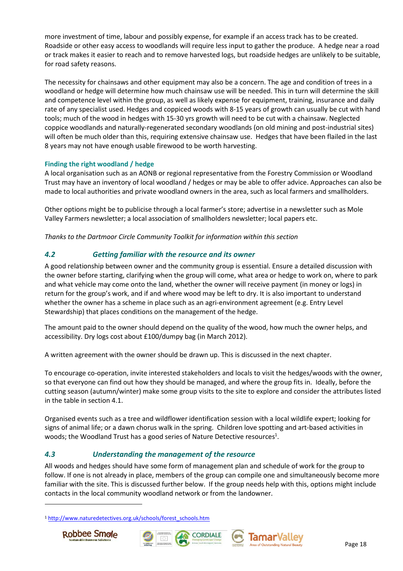more investment of time, labour and possibly expense, for example if an access track has to be created. Roadside or other easy access to woodlands will require less input to gather the produce. A hedge near a road or track makes it easier to reach and to remove harvested logs, but roadside hedges are unlikely to be suitable, for road safety reasons.

The necessity for chainsaws and other equipment may also be a concern. The age and condition of trees in a woodland or hedge will determine how much chainsaw use will be needed. This in turn will determine the skill and competence level within the group, as well as likely expense for equipment, training, insurance and daily rate of any specialist used. Hedges and coppiced woods with 8-15 years of growth can usually be cut with hand tools; much of the wood in hedges with 15-30 yrs growth will need to be cut with a chainsaw. Neglected coppice woodlands and naturally-regenerated secondary woodlands (on old mining and post-industrial sites) will often be much older than this, requiring extensive chainsaw use. Hedges that have been flailed in the last 8 years may not have enough usable firewood to be worth harvesting.

#### **Finding the right woodland / hedge**

A local organisation such as an AONB or regional representative from the Forestry Commission or Woodland Trust may have an inventory of local woodland / hedges or may be able to offer advice. Approaches can also be made to local authorities and private woodland owners in the area, such as local farmers and smallholders.

Other options might be to publicise through a local farmer's store; advertise in a newsletter such as Mole Valley Farmers newsletter; a local association of smallholders newsletter; local papers etc.

*Thanks to the Dartmoor Circle Community Toolkit for information within this section* 

### *4.2 Getting familiar with the resource and its owner*

A good relationship between owner and the community group is essential. Ensure a detailed discussion with the owner before starting, clarifying when the group will come, what area or hedge to work on, where to park and what vehicle may come onto the land, whether the owner will receive payment (in money or logs) in return for the group's work, and if and where wood may be left to dry. It is also important to understand whether the owner has a scheme in place such as an agri-environment agreement (e.g. Entry Level Stewardship) that places conditions on the management of the hedge.

The amount paid to the owner should depend on the quality of the wood, how much the owner helps, and accessibility. Dry logs cost about £100/dumpy bag (in March 2012).

A written agreement with the owner should be drawn up. This is discussed in the next chapter.

To encourage co-operation, invite interested stakeholders and locals to visit the hedges/woods with the owner, so that everyone can find out how they should be managed, and where the group fits in. Ideally, before the cutting season (autumn/winter) make some group visits to the site to explore and consider the attributes listed in the table in section 4.1.

Organised events such as a tree and wildflower identification session with a local wildlife expert; looking for signs of animal life; or a dawn chorus walk in the spring. Children love spotting and art-based activities in woods; the Woodland Trust has a good series of Nature Detective resources<sup>1</sup>.

#### *4.3 Understanding the management of the resource*

All woods and hedges should have some form of management plan and schedule of work for the group to follow. If one is not already in place, members of the group can compile one and simultaneously become more familiar with the site. This is discussed further below. If the group needs help with this, options might include contacts in the local community woodland network or from the landowner.

<sup>1</sup> http://www.naturedetectives.org.uk/schools/forest\_schools.htm



 $\overline{a}$ 





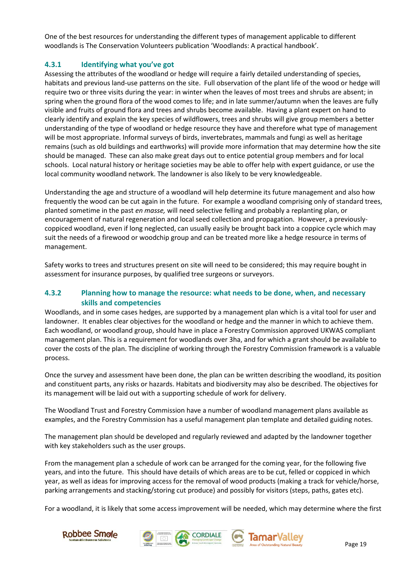One of the best resources for understanding the different types of management applicable to different woodlands is The Conservation Volunteers publication 'Woodlands: A practical handbook'.

#### **4.3.1 Identifying what you've got**

Assessing the attributes of the woodland or hedge will require a fairly detailed understanding of species, habitats and previous land-use patterns on the site. Full observation of the plant life of the wood or hedge will require two or three visits during the year: in winter when the leaves of most trees and shrubs are absent; in spring when the ground flora of the wood comes to life; and in late summer/autumn when the leaves are fully visible and fruits of ground flora and trees and shrubs become available. Having a plant expert on hand to clearly identify and explain the key species of wildflowers, trees and shrubs will give group members a better understanding of the type of woodland or hedge resource they have and therefore what type of management will be most appropriate. Informal surveys of birds, invertebrates, mammals and fungi as well as heritage remains (such as old buildings and earthworks) will provide more information that may determine how the site should be managed. These can also make great days out to entice potential group members and for local schools. Local natural history or heritage societies may be able to offer help with expert guidance, or use the local community woodland network. The landowner is also likely to be very knowledgeable.

Understanding the age and structure of a woodland will help determine its future management and also how frequently the wood can be cut again in the future. For example a woodland comprising only of standard trees, planted sometime in the past *en masse,* will need selective felling and probably a replanting plan, or encouragement of natural regeneration and local seed collection and propagation. However, a previouslycoppiced woodland, even if long neglected, can usually easily be brought back into a coppice cycle which may suit the needs of a firewood or woodchip group and can be treated more like a hedge resource in terms of management.

Safety works to trees and structures present on site will need to be considered; this may require bought in assessment for insurance purposes, by qualified tree surgeons or surveyors.

#### **4.3.2 Planning how to manage the resource: what needs to be done, when, and necessary skills and competencies**

Woodlands, and in some cases hedges, are supported by a management plan which is a vital tool for user and landowner. It enables clear objectives for the woodland or hedge and the manner in which to achieve them. Each woodland, or woodland group, should have in place a Forestry Commission approved UKWAS compliant management plan. This is a requirement for woodlands over 3ha, and for which a grant should be available to cover the costs of the plan. The discipline of working through the Forestry Commission framework is a valuable process.

Once the survey and assessment have been done, the plan can be written describing the woodland, its position and constituent parts, any risks or hazards. Habitats and biodiversity may also be described. The objectives for its management will be laid out with a supporting schedule of work for delivery.

The Woodland Trust and Forestry Commission have a number of woodland management plans available as examples, and the Forestry Commission has a useful management plan template and detailed guiding notes.

The management plan should be developed and regularly reviewed and adapted by the landowner together with key stakeholders such as the user groups.

From the management plan a schedule of work can be arranged for the coming year, for the following five years, and into the future. This should have details of which areas are to be cut, felled or coppiced in which year, as well as ideas for improving access for the removal of wood products (making a track for vehicle/horse, parking arrangements and stacking/storing cut produce) and possibly for visitors (steps, paths, gates etc).

For a woodland, it is likely that some access improvement will be needed, which may determine where the first